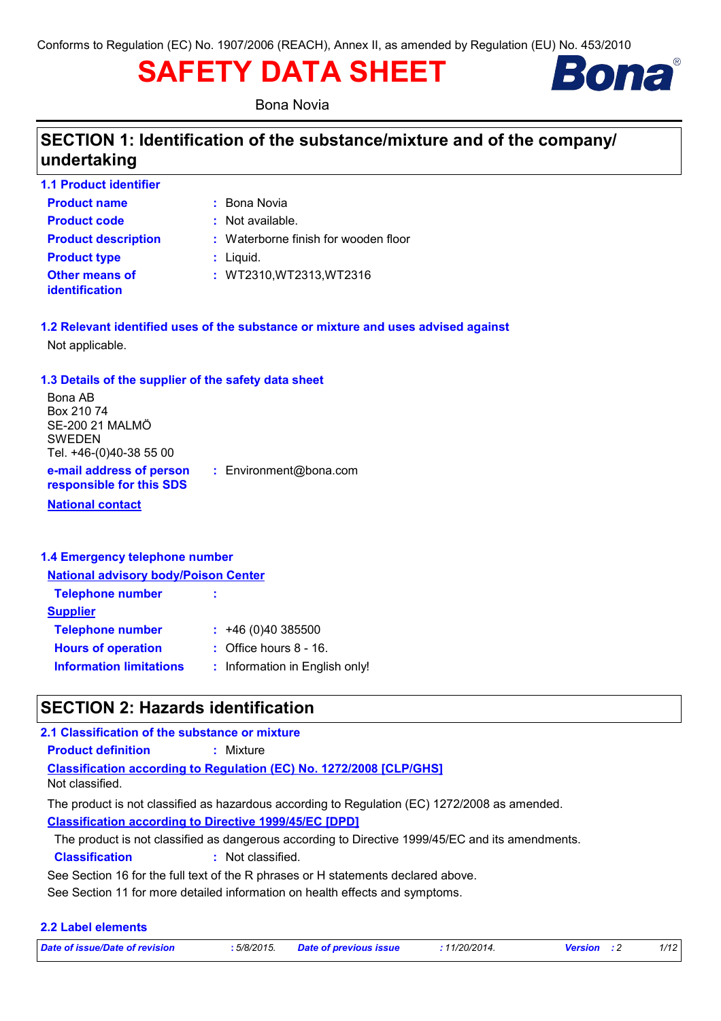# **SAFETY DATA SHEET**



Bona Novia

### **SECTION 1: Identification of the substance/mixture and of the company/ undertaking**

| <b>1.1 Product identifier</b>                  |                                      |
|------------------------------------------------|--------------------------------------|
| <b>Product name</b>                            | : Bona Novia                         |
| <b>Product code</b>                            | : Not available.                     |
| <b>Product description</b>                     | : Waterborne finish for wooden floor |
| <b>Product type</b>                            | $:$ Liquid.                          |
| <b>Other means of</b><br><b>identification</b> | : WT2310, WT2313, WT2316             |

**1.2 Relevant identified uses of the substance or mixture and uses advised against** Not applicable.

### **1.3 Details of the supplier of the safety data sheet**

| Bona AB                                              |                        |
|------------------------------------------------------|------------------------|
| Box 210 74                                           |                        |
| SE-200 21 MALMÖ                                      |                        |
| <b>SWEDEN</b>                                        |                        |
| Tel. +46-(0)40-38 55 00                              |                        |
| e-mail address of person<br>responsible for this SDS | : Environment@bona.com |
| <b>National contact</b>                              |                        |

#### **1.4 Emergency telephone number**

| <b>National advisory body/Poison Center</b> |  |  |  |
|---------------------------------------------|--|--|--|
| ÷                                           |  |  |  |
|                                             |  |  |  |
| $: +46(0)40385500$                          |  |  |  |
| $\therefore$ Office hours 8 - 16.           |  |  |  |
| : Information in English only!              |  |  |  |
|                                             |  |  |  |

### **SECTION 2: Hazards identification**

#### **2.1 Classification of the substance or mixture**

**Product definition :** Mixture

**Classification according to Regulation (EC) No. 1272/2008 [CLP/GHS]** Not classified.

**Classification according to Directive 1999/45/EC [DPD]** The product is not classified as hazardous according to Regulation (EC) 1272/2008 as amended.

The product is not classified as dangerous according to Directive 1999/45/EC and its amendments.

**Classification :** Not classified.

See Section 16 for the full text of the R phrases or H statements declared above.

See Section 11 for more detailed information on health effects and symptoms.

### **2.2 Label elements**

|  |  | Date of issue/Date of revision |  |
|--|--|--------------------------------|--|
|  |  |                                |  |

*Date of issue/Date of revision* **:** *5/8/2015. Date of previous issue : 11/20/2014. Version : 2 1/12*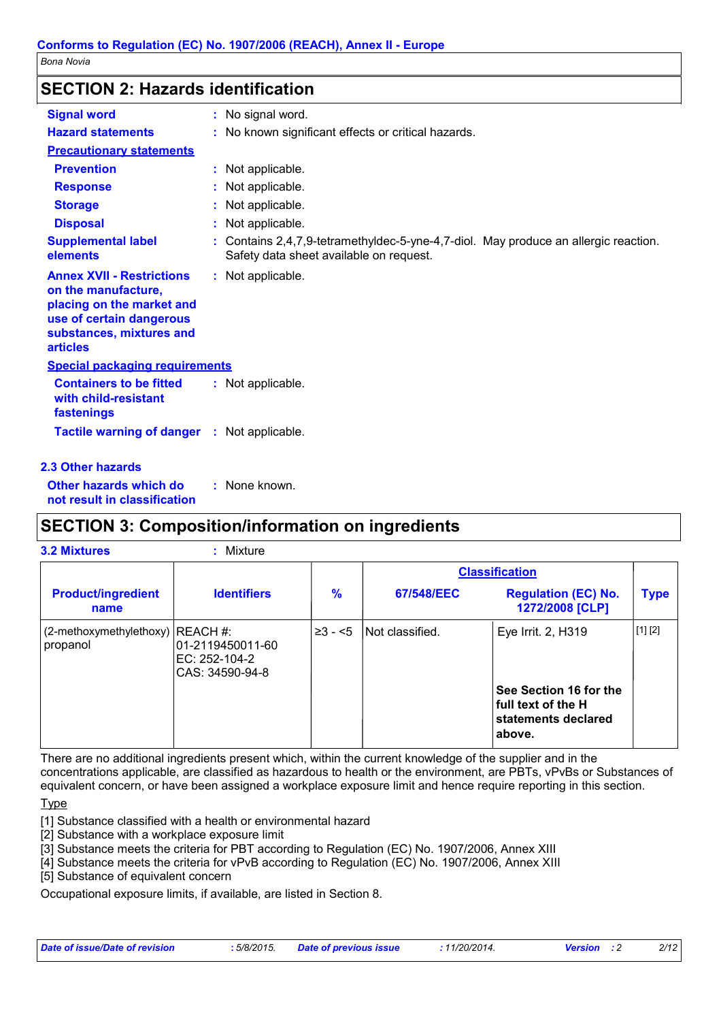### **SECTION 2: Hazards identification**

| <b>Signal word</b>                                                                                                                                              | : No signal word.                                                                                                              |  |
|-----------------------------------------------------------------------------------------------------------------------------------------------------------------|--------------------------------------------------------------------------------------------------------------------------------|--|
| <b>Hazard statements</b>                                                                                                                                        | : No known significant effects or critical hazards.                                                                            |  |
| <b>Precautionary statements</b>                                                                                                                                 |                                                                                                                                |  |
| <b>Prevention</b>                                                                                                                                               | : Not applicable.                                                                                                              |  |
| <b>Response</b>                                                                                                                                                 | : Not applicable.                                                                                                              |  |
| <b>Storage</b>                                                                                                                                                  | : Not applicable.                                                                                                              |  |
| <b>Disposal</b>                                                                                                                                                 | : Not applicable.                                                                                                              |  |
| <b>Supplemental label</b><br>elements                                                                                                                           | : Contains 2,4,7,9-tetramethyldec-5-yne-4,7-diol. May produce an allergic reaction.<br>Safety data sheet available on request. |  |
| <b>Annex XVII - Restrictions</b><br>on the manufacture,<br>placing on the market and<br>use of certain dangerous<br>substances, mixtures and<br><b>articles</b> | : Not applicable.                                                                                                              |  |
| <b>Special packaging requirements</b>                                                                                                                           |                                                                                                                                |  |
| <b>Containers to be fitted</b><br>with child-resistant<br>fastenings                                                                                            | : Not applicable.                                                                                                              |  |
| <b>Tactile warning of danger : Not applicable.</b>                                                                                                              |                                                                                                                                |  |
| <b>2.3 Other hazards</b>                                                                                                                                        |                                                                                                                                |  |

**Other hazards which do : not result in classification** : None known.

### **SECTION 3: Composition/information on ingredients**

| 3.2 Mixtures                                    | Mixture                                                |              |                 |                                                                               |             |
|-------------------------------------------------|--------------------------------------------------------|--------------|-----------------|-------------------------------------------------------------------------------|-------------|
|                                                 |                                                        |              |                 | <b>Classification</b>                                                         |             |
| <b>Product/ingredient</b><br>name               | <b>Identifiers</b>                                     | %            | 67/548/EEC      | <b>Regulation (EC) No.</b><br>1272/2008 [CLP]                                 | <b>Type</b> |
| $(2$ -methoxymethylethoxy) REACH #:<br>propanol | l01-2119450011-60<br>IEC: 252-104-2<br>CAS: 34590-94-8 | $\geq 3 - 5$ | Not classified. | Eye Irrit. 2, H319                                                            | [1] [2]     |
|                                                 |                                                        |              |                 | See Section 16 for the<br>full text of the H<br>statements declared<br>above. |             |

There are no additional ingredients present which, within the current knowledge of the supplier and in the concentrations applicable, are classified as hazardous to health or the environment, are PBTs, vPvBs or Substances of equivalent concern, or have been assigned a workplace exposure limit and hence require reporting in this section.

**Type** 

[1] Substance classified with a health or environmental hazard

[2] Substance with a workplace exposure limit

[3] Substance meets the criteria for PBT according to Regulation (EC) No. 1907/2006, Annex XIII

[4] Substance meets the criteria for vPvB according to Regulation (EC) No. 1907/2006, Annex XIII

[5] Substance of equivalent concern

Occupational exposure limits, if available, are listed in Section 8.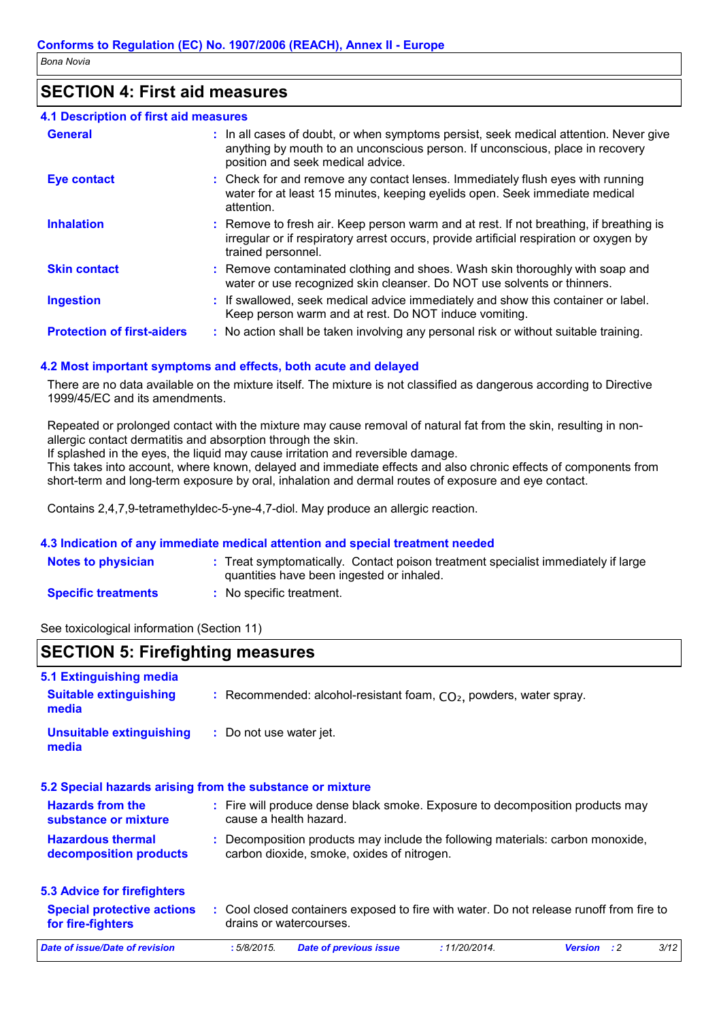### **SECTION 4: First aid measures**

#### **4.1 Description of first aid measures**

| <b>General</b>                    | : In all cases of doubt, or when symptoms persist, seek medical attention. Never give<br>anything by mouth to an unconscious person. If unconscious, place in recovery<br>position and seek medical advice. |
|-----------------------------------|-------------------------------------------------------------------------------------------------------------------------------------------------------------------------------------------------------------|
| <b>Eye contact</b>                | : Check for and remove any contact lenses. Immediately flush eyes with running<br>water for at least 15 minutes, keeping eyelids open. Seek immediate medical<br>attention.                                 |
| <b>Inhalation</b>                 | : Remove to fresh air. Keep person warm and at rest. If not breathing, if breathing is<br>irregular or if respiratory arrest occurs, provide artificial respiration or oxygen by<br>trained personnel.      |
| <b>Skin contact</b>               | : Remove contaminated clothing and shoes. Wash skin thoroughly with soap and<br>water or use recognized skin cleanser. Do NOT use solvents or thinners.                                                     |
| <b>Ingestion</b>                  | : If swallowed, seek medical advice immediately and show this container or label.<br>Keep person warm and at rest. Do NOT induce vomiting.                                                                  |
| <b>Protection of first-aiders</b> | : No action shall be taken involving any personal risk or without suitable training.                                                                                                                        |

#### **4.2 Most important symptoms and effects, both acute and delayed**

There are no data available on the mixture itself. The mixture is not classified as dangerous according to Directive 1999/45/EC and its amendments.

Repeated or prolonged contact with the mixture may cause removal of natural fat from the skin, resulting in nonallergic contact dermatitis and absorption through the skin.

If splashed in the eyes, the liquid may cause irritation and reversible damage.

This takes into account, where known, delayed and immediate effects and also chronic effects of components from short-term and long-term exposure by oral, inhalation and dermal routes of exposure and eye contact.

Contains 2,4,7,9-tetramethyldec-5-yne-4,7-diol. May produce an allergic reaction.

#### **4.3 Indication of any immediate medical attention and special treatment needed**

| <b>Notes to physician</b>  | : Treat symptomatically. Contact poison treatment specialist immediately if large<br>quantities have been ingested or inhaled. |
|----------------------------|--------------------------------------------------------------------------------------------------------------------------------|
| <b>Specific treatments</b> | No specific treatment.                                                                                                         |

See toxicological information (Section 11)

### **SECTION 5: Firefighting measures**

| 5.1 Extinguishing media                                   |                                                                                                                              |      |
|-----------------------------------------------------------|------------------------------------------------------------------------------------------------------------------------------|------|
| <b>Suitable extinguishing</b><br>media                    | : Recommended: alcohol-resistant foam, $CO2$ , powders, water spray.                                                         |      |
| <b>Unsuitable extinguishing</b><br>media                  | : Do not use water jet.                                                                                                      |      |
| 5.2 Special hazards arising from the substance or mixture |                                                                                                                              |      |
| <b>Hazards from the</b><br>substance or mixture           | : Fire will produce dense black smoke. Exposure to decomposition products may<br>cause a health hazard.                      |      |
| <b>Hazardous thermal</b><br>decomposition products        | : Decomposition products may include the following materials: carbon monoxide,<br>carbon dioxide, smoke, oxides of nitrogen. |      |
| <b>5.3 Advice for firefighters</b>                        |                                                                                                                              |      |
| <b>Special protective actions</b><br>for fire-fighters    | : Cool closed containers exposed to fire with water. Do not release runoff from fire to<br>drains or watercourses.           |      |
| Date of issue/Date of revision                            | :5/8/2015.<br><b>Date of previous issue</b><br>: 11/20/2014.<br>$\cdot$ : 2<br><b>Version</b>                                | 3/12 |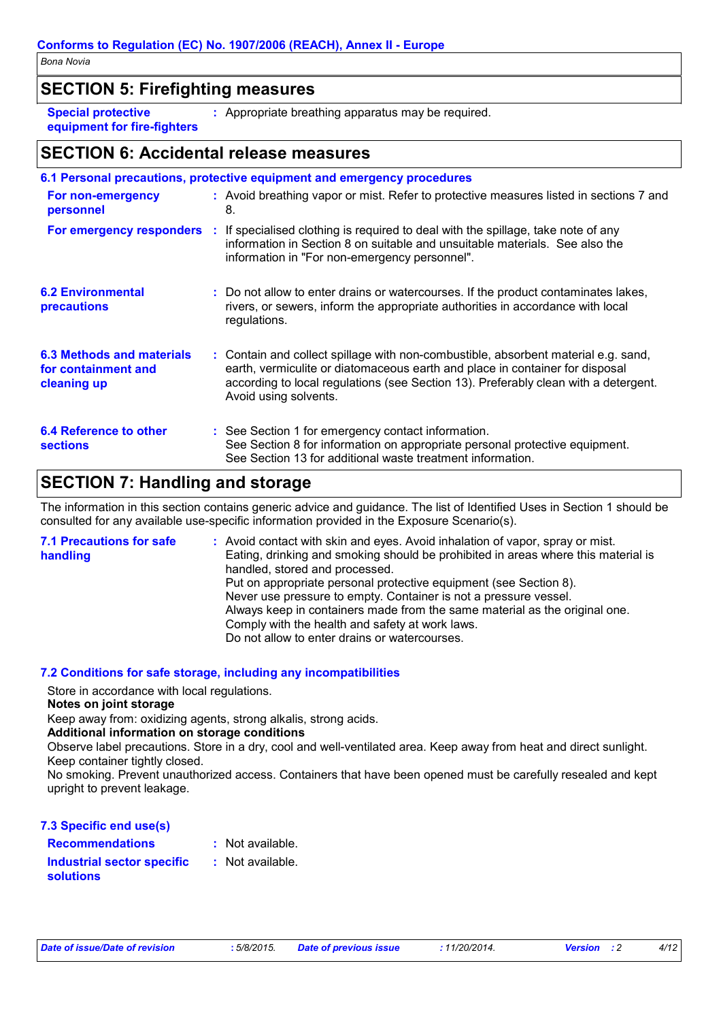### **SECTION 5: Firefighting measures**

**Special protective equipment for fire-fighters** **:** Appropriate breathing apparatus may be required.

### **SECTION 6: Accidental release measures**

|                                                                        | 6.1 Personal precautions, protective equipment and emergency procedures                                                                                                                                                                                                            |
|------------------------------------------------------------------------|------------------------------------------------------------------------------------------------------------------------------------------------------------------------------------------------------------------------------------------------------------------------------------|
| For non-emergency<br>personnel                                         | : Avoid breathing vapor or mist. Refer to protective measures listed in sections 7 and<br>8.                                                                                                                                                                                       |
| For emergency responders                                               | : If specialised clothing is required to deal with the spillage, take note of any<br>information in Section 8 on suitable and unsuitable materials. See also the<br>information in "For non-emergency personnel".                                                                  |
| <b>6.2 Environmental</b><br><b>precautions</b>                         | : Do not allow to enter drains or watercourses. If the product contaminates lakes,<br>rivers, or sewers, inform the appropriate authorities in accordance with local<br>regulations.                                                                                               |
| <b>6.3 Methods and materials</b><br>for containment and<br>cleaning up | : Contain and collect spillage with non-combustible, absorbent material e.g. sand,<br>earth, vermiculite or diatomaceous earth and place in container for disposal<br>according to local regulations (see Section 13). Preferably clean with a detergent.<br>Avoid using solvents. |
| 6.4 Reference to other<br><b>sections</b>                              | : See Section 1 for emergency contact information.<br>See Section 8 for information on appropriate personal protective equipment.<br>See Section 13 for additional waste treatment information.                                                                                    |

### **SECTION 7: Handling and storage**

The information in this section contains generic advice and guidance. The list of Identified Uses in Section 1 should be consulted for any available use-specific information provided in the Exposure Scenario(s).

| <b>7.1 Precautions for safe</b><br>handling | : Avoid contact with skin and eyes. Avoid inhalation of vapor, spray or mist.<br>Eating, drinking and smoking should be prohibited in areas where this material is<br>handled, stored and processed.<br>Put on appropriate personal protective equipment (see Section 8).<br>Never use pressure to empty. Container is not a pressure vessel.<br>Always keep in containers made from the same material as the original one. |
|---------------------------------------------|-----------------------------------------------------------------------------------------------------------------------------------------------------------------------------------------------------------------------------------------------------------------------------------------------------------------------------------------------------------------------------------------------------------------------------|
|                                             | Comply with the health and safety at work laws.<br>Do not allow to enter drains or watercourses.                                                                                                                                                                                                                                                                                                                            |

### **7.2 Conditions for safe storage, including any incompatibilities**

Store in accordance with local regulations.

#### **Notes on joint storage**

Keep away from: oxidizing agents, strong alkalis, strong acids.

#### **Additional information on storage conditions**

Observe label precautions. Store in a dry, cool and well-ventilated area. Keep away from heat and direct sunlight. Keep container tightly closed.

No smoking. Prevent unauthorized access. Containers that have been opened must be carefully resealed and kept upright to prevent leakage.

**7.3 Specific end use(s)**

**Recommendations :**

**Industrial sector specific : solutions**

: Not available.

: Not available.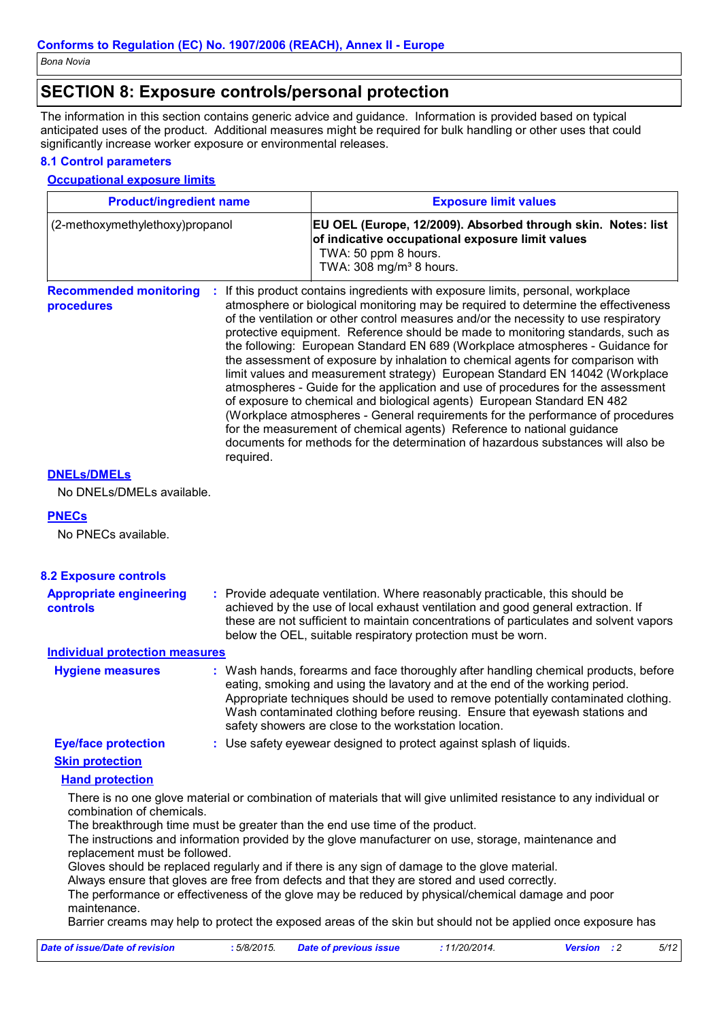### **SECTION 8: Exposure controls/personal protection**

The information in this section contains generic advice and guidance. Information is provided based on typical anticipated uses of the product. Additional measures might be required for bulk handling or other uses that could significantly increase worker exposure or environmental releases.

#### **8.1 Control parameters**

#### **Occupational exposure limits**

| <b>Product/ingredient name</b><br>(2-methoxymethylethoxy)propanol<br><b>Recommended monitoring</b><br>÷<br>procedures<br>required. |  | <b>Exposure limit values</b>                                                                                                                                                                                                                                                                                                                                                                                                                                                                                                                                                                                                                                                                                                                                                                                                                                                                                                                                                                                        |  |  |
|------------------------------------------------------------------------------------------------------------------------------------|--|---------------------------------------------------------------------------------------------------------------------------------------------------------------------------------------------------------------------------------------------------------------------------------------------------------------------------------------------------------------------------------------------------------------------------------------------------------------------------------------------------------------------------------------------------------------------------------------------------------------------------------------------------------------------------------------------------------------------------------------------------------------------------------------------------------------------------------------------------------------------------------------------------------------------------------------------------------------------------------------------------------------------|--|--|
|                                                                                                                                    |  | EU OEL (Europe, 12/2009). Absorbed through skin. Notes: list<br>of indicative occupational exposure limit values<br>TWA: 50 ppm 8 hours.<br>TWA: 308 mg/m <sup>3</sup> 8 hours.                                                                                                                                                                                                                                                                                                                                                                                                                                                                                                                                                                                                                                                                                                                                                                                                                                     |  |  |
|                                                                                                                                    |  | If this product contains ingredients with exposure limits, personal, workplace<br>atmosphere or biological monitoring may be required to determine the effectiveness<br>of the ventilation or other control measures and/or the necessity to use respiratory<br>protective equipment. Reference should be made to monitoring standards, such as<br>the following: European Standard EN 689 (Workplace atmospheres - Guidance for<br>the assessment of exposure by inhalation to chemical agents for comparison with<br>limit values and measurement strategy) European Standard EN 14042 (Workplace<br>atmospheres - Guide for the application and use of procedures for the assessment<br>of exposure to chemical and biological agents) European Standard EN 482<br>(Workplace atmospheres - General requirements for the performance of procedures<br>for the measurement of chemical agents) Reference to national guidance<br>documents for methods for the determination of hazardous substances will also be |  |  |
| <b>DNELS/DMELS</b>                                                                                                                 |  |                                                                                                                                                                                                                                                                                                                                                                                                                                                                                                                                                                                                                                                                                                                                                                                                                                                                                                                                                                                                                     |  |  |
| No DNELs/DMELs available.                                                                                                          |  |                                                                                                                                                                                                                                                                                                                                                                                                                                                                                                                                                                                                                                                                                                                                                                                                                                                                                                                                                                                                                     |  |  |
|                                                                                                                                    |  |                                                                                                                                                                                                                                                                                                                                                                                                                                                                                                                                                                                                                                                                                                                                                                                                                                                                                                                                                                                                                     |  |  |
| <b>PNECs</b><br>No PNECs available.                                                                                                |  |                                                                                                                                                                                                                                                                                                                                                                                                                                                                                                                                                                                                                                                                                                                                                                                                                                                                                                                                                                                                                     |  |  |

| <b>8.2 Exposure controls</b>                      |                                                                                                                                                                                                                                                                                                                                                                                                   |
|---------------------------------------------------|---------------------------------------------------------------------------------------------------------------------------------------------------------------------------------------------------------------------------------------------------------------------------------------------------------------------------------------------------------------------------------------------------|
| <b>Appropriate engineering</b><br><b>controls</b> | : Provide adequate ventilation. Where reasonably practicable, this should be<br>achieved by the use of local exhaust ventilation and good general extraction. If<br>these are not sufficient to maintain concentrations of particulates and solvent vapors<br>below the OEL, suitable respiratory protection must be worn.                                                                        |
| <b>Individual protection measures</b>             |                                                                                                                                                                                                                                                                                                                                                                                                   |
| <b>Hygiene measures</b>                           | : Wash hands, forearms and face thoroughly after handling chemical products, before<br>eating, smoking and using the lavatory and at the end of the working period.<br>Appropriate techniques should be used to remove potentially contaminated clothing.<br>Wash contaminated clothing before reusing. Ensure that eyewash stations and<br>safety showers are close to the workstation location. |
| <b>Eye/face protection</b>                        | : Use safety eyewear designed to protect against splash of liquids.                                                                                                                                                                                                                                                                                                                               |
| <b>Skin protection</b>                            |                                                                                                                                                                                                                                                                                                                                                                                                   |
| <b>Hand protection</b>                            |                                                                                                                                                                                                                                                                                                                                                                                                   |
| combination of chemicals.                         | There is no one glove material or combination of materials that will give unlimited resistance to any individual or<br>The breakthrough time must be greater than the end use time of the product.<br>The instructions and information provided by the glove manufacturer on use, storage, maintenance and                                                                                        |

The instructions and information provided by the glove manufacturer on use, storage, maintenance and replacement must be followed.

Gloves should be replaced regularly and if there is any sign of damage to the glove material.

Always ensure that gloves are free from defects and that they are stored and used correctly.

The performance or effectiveness of the glove may be reduced by physical/chemical damage and poor maintenance.

Barrier creams may help to protect the exposed areas of the skin but should not be applied once exposure has

| Date of issue/Date of revision | : 5/8/2015. Date of previous issue | : 11/20/2014. | <b>Version</b> : 2 | 5/12 |
|--------------------------------|------------------------------------|---------------|--------------------|------|
|                                |                                    |               |                    |      |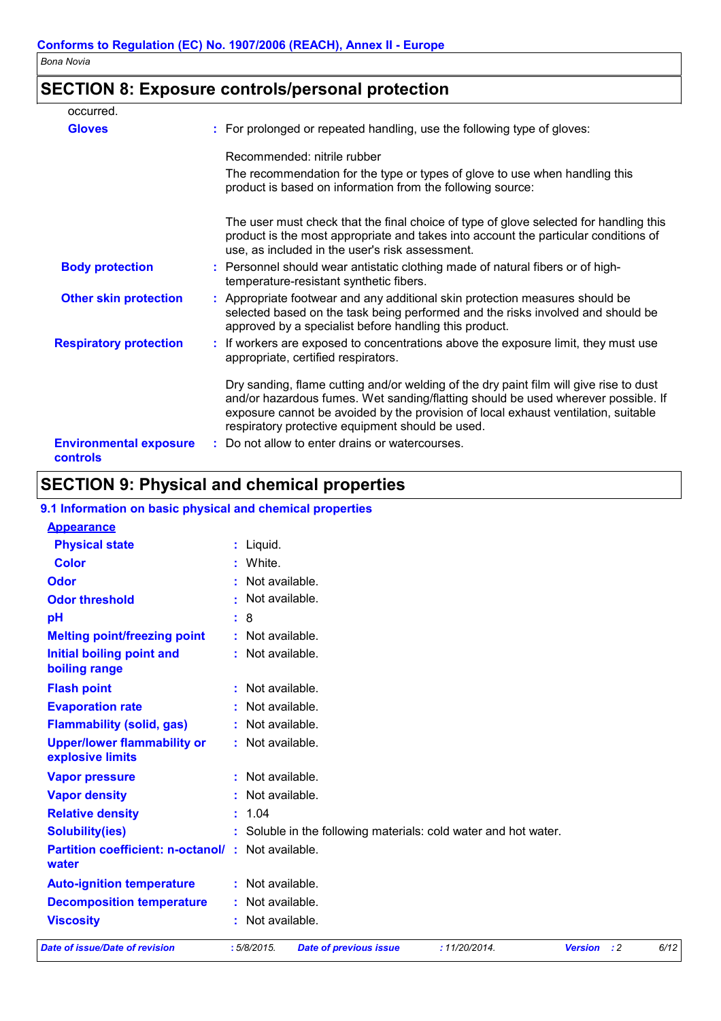### **SECTION 8: Exposure controls/personal protection**

| occurred.                                 |                                                                                                                                                                                                                                                                                                                       |
|-------------------------------------------|-----------------------------------------------------------------------------------------------------------------------------------------------------------------------------------------------------------------------------------------------------------------------------------------------------------------------|
| <b>Gloves</b>                             | : For prolonged or repeated handling, use the following type of gloves:                                                                                                                                                                                                                                               |
|                                           | Recommended: nitrile rubber                                                                                                                                                                                                                                                                                           |
|                                           | The recommendation for the type or types of glove to use when handling this<br>product is based on information from the following source:                                                                                                                                                                             |
|                                           | The user must check that the final choice of type of glove selected for handling this<br>product is the most appropriate and takes into account the particular conditions of<br>use, as included in the user's risk assessment.                                                                                       |
| <b>Body protection</b>                    | : Personnel should wear antistatic clothing made of natural fibers or of high-<br>temperature-resistant synthetic fibers.                                                                                                                                                                                             |
| <b>Other skin protection</b>              | : Appropriate footwear and any additional skin protection measures should be<br>selected based on the task being performed and the risks involved and should be<br>approved by a specialist before handling this product.                                                                                             |
| <b>Respiratory protection</b>             | : If workers are exposed to concentrations above the exposure limit, they must use<br>appropriate, certified respirators.                                                                                                                                                                                             |
|                                           | Dry sanding, flame cutting and/or welding of the dry paint film will give rise to dust<br>and/or hazardous fumes. Wet sanding/flatting should be used wherever possible. If<br>exposure cannot be avoided by the provision of local exhaust ventilation, suitable<br>respiratory protective equipment should be used. |
| <b>Environmental exposure</b><br>controls | : Do not allow to enter drains or watercourses.                                                                                                                                                                                                                                                                       |

# **SECTION 9: Physical and chemical properties**

| <b>Date of issue/Date of revision</b>                             |     | :5/8/2015.         | <b>Date of previous issue</b> | : 11/20/2014.                                                   | <b>Version</b> | : 2 | 6/12 |
|-------------------------------------------------------------------|-----|--------------------|-------------------------------|-----------------------------------------------------------------|----------------|-----|------|
| <b>Viscosity</b>                                                  |     | : Not available.   |                               |                                                                 |                |     |      |
| <b>Decomposition temperature</b>                                  |     | : Not available.   |                               |                                                                 |                |     |      |
| <b>Auto-ignition temperature</b>                                  |     | : Not available.   |                               |                                                                 |                |     |      |
| <b>Partition coefficient: n-octanol/: Not available.</b><br>water |     |                    |                               |                                                                 |                |     |      |
| <b>Solubility(ies)</b>                                            |     |                    |                               | : Soluble in the following materials: cold water and hot water. |                |     |      |
| <b>Relative density</b>                                           |     | : 1.04             |                               |                                                                 |                |     |      |
| <b>Vapor density</b>                                              |     | : Not available.   |                               |                                                                 |                |     |      |
| <b>Vapor pressure</b>                                             |     | : Not available.   |                               |                                                                 |                |     |      |
| <b>Upper/lower flammability or</b><br>explosive limits            |     | : Not available.   |                               |                                                                 |                |     |      |
| <b>Flammability (solid, gas)</b>                                  |     | : Not available.   |                               |                                                                 |                |     |      |
| <b>Evaporation rate</b>                                           |     | : Not available.   |                               |                                                                 |                |     |      |
| <b>Flash point</b>                                                |     | $:$ Not available. |                               |                                                                 |                |     |      |
| <b>Initial boiling point and</b><br>boiling range                 |     | : Not available.   |                               |                                                                 |                |     |      |
| <b>Melting point/freezing point</b>                               |     | : Not available.   |                               |                                                                 |                |     |      |
| pH                                                                | : 8 |                    |                               |                                                                 |                |     |      |
| <b>Odor threshold</b>                                             |     | : Not available.   |                               |                                                                 |                |     |      |
| Odor                                                              |     | : Not available.   |                               |                                                                 |                |     |      |
| <b>Color</b>                                                      |     | : White.           |                               |                                                                 |                |     |      |
| <b>Physical state</b>                                             |     | : Liquid.          |                               |                                                                 |                |     |      |
| <b>Appearance</b>                                                 |     |                    |                               |                                                                 |                |     |      |
| 9.1 Information on basic physical and chemical properties         |     |                    |                               |                                                                 |                |     |      |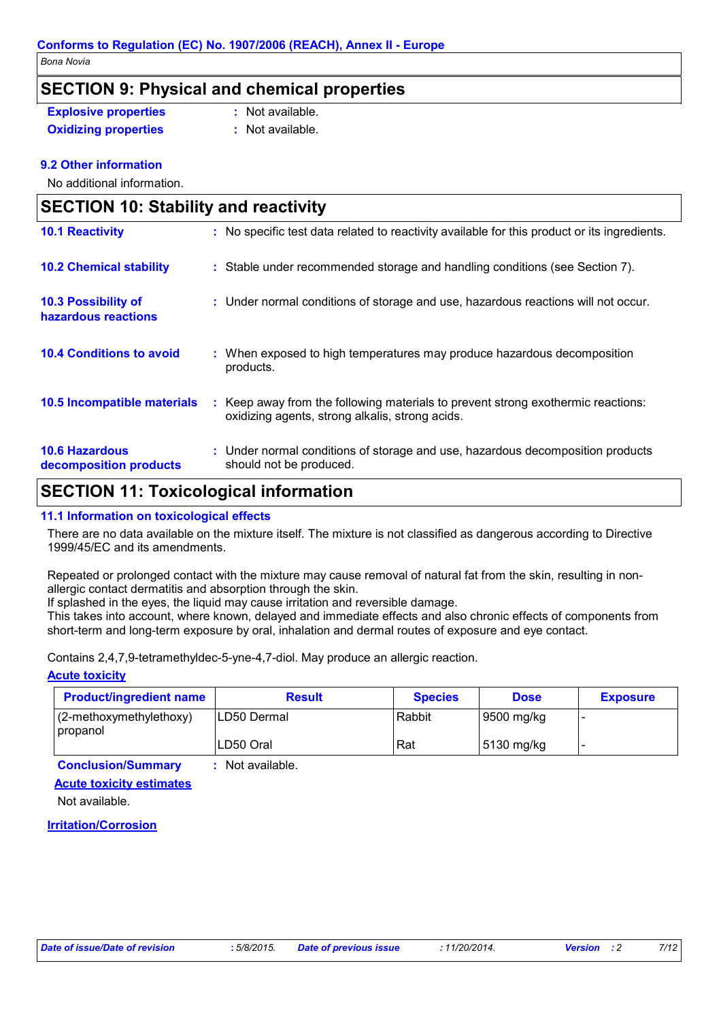### **SECTION 9: Physical and chemical properties**

**Explosive properties :** Not available. **Oxidizing properties :** Not available.

### **9.2 Other information**

No additional information.

| <b>SECTION 10: Stability and reactivity</b>       |                                                                                                                                     |  |  |  |
|---------------------------------------------------|-------------------------------------------------------------------------------------------------------------------------------------|--|--|--|
| <b>10.1 Reactivity</b>                            | : No specific test data related to reactivity available for this product or its ingredients.                                        |  |  |  |
| <b>10.2 Chemical stability</b>                    | : Stable under recommended storage and handling conditions (see Section 7).                                                         |  |  |  |
| <b>10.3 Possibility of</b><br>hazardous reactions | : Under normal conditions of storage and use, hazardous reactions will not occur.                                                   |  |  |  |
| <b>10.4 Conditions to avoid</b>                   | : When exposed to high temperatures may produce hazardous decomposition<br>products.                                                |  |  |  |
| 10.5 Incompatible materials                       | : Keep away from the following materials to prevent strong exothermic reactions:<br>oxidizing agents, strong alkalis, strong acids. |  |  |  |
| <b>10.6 Hazardous</b><br>decomposition products   | : Under normal conditions of storage and use, hazardous decomposition products<br>should not be produced.                           |  |  |  |

### **SECTION 11: Toxicological information**

### **11.1 Information on toxicological effects**

There are no data available on the mixture itself. The mixture is not classified as dangerous according to Directive 1999/45/EC and its amendments.

Repeated or prolonged contact with the mixture may cause removal of natural fat from the skin, resulting in nonallergic contact dermatitis and absorption through the skin.

If splashed in the eyes, the liquid may cause irritation and reversible damage.

This takes into account, where known, delayed and immediate effects and also chronic effects of components from short-term and long-term exposure by oral, inhalation and dermal routes of exposure and eye contact.

Contains 2,4,7,9-tetramethyldec-5-yne-4,7-diol. May produce an allergic reaction.

### **Acute toxicity**

| <b>Product/ingredient name</b>         | <b>Result</b> | <b>Species</b> | <b>Dose</b> | <b>Exposure</b> |
|----------------------------------------|---------------|----------------|-------------|-----------------|
| $(2$ -methoxymethylethoxy)<br>propanol | ILD50 Dermal  | Rabbit         | 9500 mg/kg  |                 |
|                                        | LD50 Oral     | Rat            | 5130 mg/kg  |                 |

**Conclusion/Summary :** Not available.

**Acute toxicity estimates**

Not available.

**Irritation/Corrosion**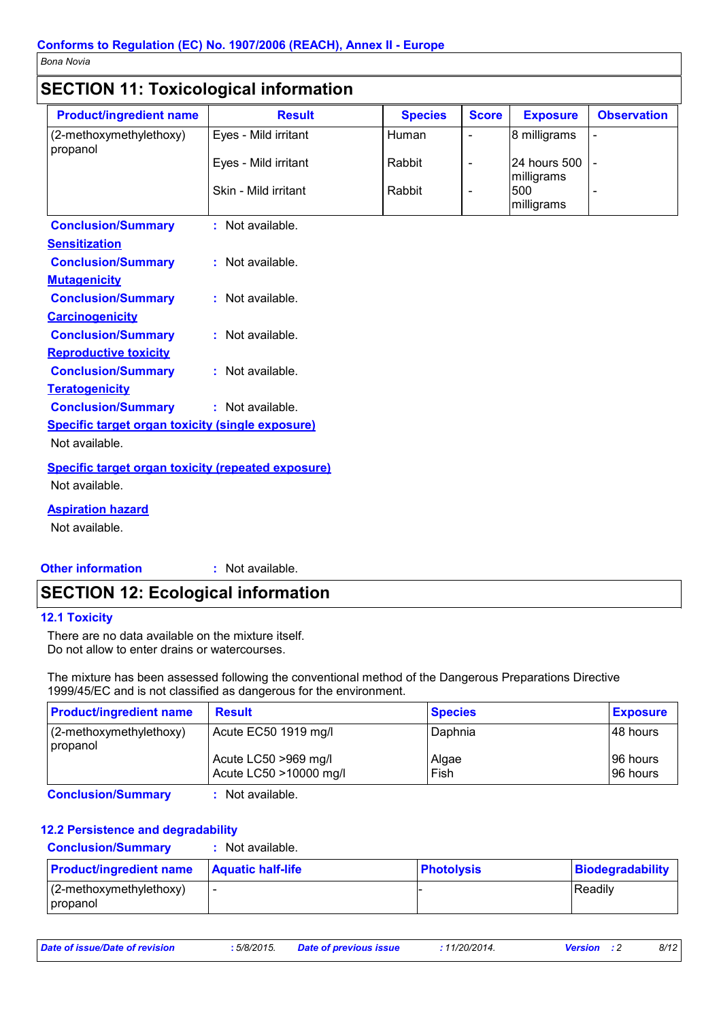### **SECTION 11: Toxicological information**

| <b>Product/ingredient name</b>                            | <b>Result</b>        | <b>Species</b> | <b>Score</b>                 | <b>Exposure</b>            | <b>Observation</b>       |
|-----------------------------------------------------------|----------------------|----------------|------------------------------|----------------------------|--------------------------|
| (2-methoxymethylethoxy)<br>propanol                       | Eyes - Mild irritant | Human          | $\blacksquare$               | 8 milligrams               |                          |
|                                                           | Eyes - Mild irritant | Rabbit         | $\qquad \qquad \blacksquare$ | 24 hours 500<br>milligrams |                          |
|                                                           | Skin - Mild irritant | Rabbit         | $\blacksquare$               | 500<br>milligrams          | $\overline{\phantom{a}}$ |
| <b>Conclusion/Summary</b>                                 | : Not available.     |                |                              |                            |                          |
| <b>Sensitization</b>                                      |                      |                |                              |                            |                          |
| <b>Conclusion/Summary</b>                                 | : Not available.     |                |                              |                            |                          |
| <b>Mutagenicity</b>                                       |                      |                |                              |                            |                          |
| <b>Conclusion/Summary</b>                                 | : Not available.     |                |                              |                            |                          |
| <b>Carcinogenicity</b>                                    |                      |                |                              |                            |                          |
| <b>Conclusion/Summary</b>                                 | : Not available.     |                |                              |                            |                          |
| <b>Reproductive toxicity</b>                              |                      |                |                              |                            |                          |
| <b>Conclusion/Summary</b>                                 | : Not available.     |                |                              |                            |                          |
| <b>Teratogenicity</b>                                     |                      |                |                              |                            |                          |
| <b>Conclusion/Summary</b>                                 | : Not available.     |                |                              |                            |                          |
| <b>Specific target organ toxicity (single exposure)</b>   |                      |                |                              |                            |                          |
| Not available.                                            |                      |                |                              |                            |                          |
| <b>Specific target organ toxicity (repeated exposure)</b> |                      |                |                              |                            |                          |
| Not available.                                            |                      |                |                              |                            |                          |
| <b>Aspiration hazard</b>                                  |                      |                |                              |                            |                          |
| Not available.                                            |                      |                |                              |                            |                          |

#### **Other information :** : Not available.

### **SECTION 12: Ecological information**

### **12.1 Toxicity**

There are no data available on the mixture itself. Do not allow to enter drains or watercourses.

The mixture has been assessed following the conventional method of the Dangerous Preparations Directive 1999/45/EC and is not classified as dangerous for the environment.

| <b>Product/ingredient name</b>          | <b>Result</b>                                  | <b>Species</b> | <b>Exposure</b>        |
|-----------------------------------------|------------------------------------------------|----------------|------------------------|
| $(2-methoxymethylethoxy)$<br>  propanol | Acute EC50 1919 mg/l                           | Daphnia        | I48 hours              |
|                                         | Acute LC50 >969 mg/l<br>Acute LC50 >10000 mg/l | Algae<br>Fish  | 196 hours<br>I96 hours |

**Conclusion/Summary :** Not available.

### **12.2 Persistence and degradability**

**Conclusion/Summary :** Not available.

| <b>Product/ingredient name</b>         | <b>Aquatic half-life</b> | <b>Photolysis</b> | Biodegradability |
|----------------------------------------|--------------------------|-------------------|------------------|
| $(2$ -methoxymethylethoxy)<br>propanol |                          |                   | Readily          |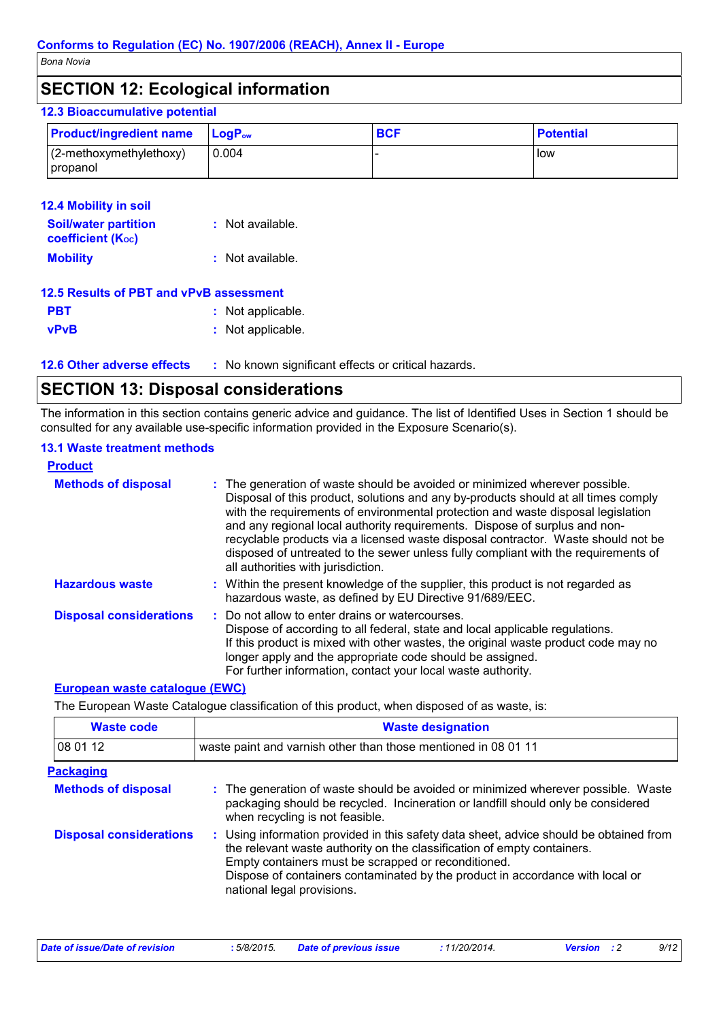### **SECTION 12: Ecological information**

#### **LogP**<sub>ow</sub> **BCF Potential 12.3 Bioaccumulative potential Product/ingredient name** (2-methoxymethylethoxy) propanol 0.004 - letters and letters are letters and letters are letters and letters are letters and letters are letter

| <b>12.4 Mobility in soil</b>                            |                    |
|---------------------------------------------------------|--------------------|
| <b>Soil/water partition</b><br><b>coefficient (Koc)</b> | : Not available.   |
| <b>Mobility</b>                                         | $:$ Not available. |
| 12.5 Results of PBT and vPvB assessment                 |                    |

| <u>IZ.J RESUILS ULF DT AIIU VE VD ASSESSITIEIIL</u> |                   |
|-----------------------------------------------------|-------------------|
| <b>PBT</b>                                          | : Not applicable. |
| <b>vPvB</b>                                         | : Not applicable. |

**12.6 Other adverse effects** : No known significant effects or critical hazards.

# **SECTION 13: Disposal considerations**

The information in this section contains generic advice and guidance. The list of Identified Uses in Section 1 should be consulted for any available use-specific information provided in the Exposure Scenario(s).

### **13.1 Waste treatment methods**

| <b>Product</b>                 |                                                                                                                                                                                                                                                                                                                                                                                                                                                                                                                                                      |
|--------------------------------|------------------------------------------------------------------------------------------------------------------------------------------------------------------------------------------------------------------------------------------------------------------------------------------------------------------------------------------------------------------------------------------------------------------------------------------------------------------------------------------------------------------------------------------------------|
| <b>Methods of disposal</b>     | : The generation of waste should be avoided or minimized wherever possible.<br>Disposal of this product, solutions and any by-products should at all times comply<br>with the requirements of environmental protection and waste disposal legislation<br>and any regional local authority requirements. Dispose of surplus and non-<br>recyclable products via a licensed waste disposal contractor. Waste should not be<br>disposed of untreated to the sewer unless fully compliant with the requirements of<br>all authorities with jurisdiction. |
| <b>Hazardous waste</b>         | : Within the present knowledge of the supplier, this product is not regarded as<br>hazardous waste, as defined by EU Directive 91/689/EEC.                                                                                                                                                                                                                                                                                                                                                                                                           |
| <b>Disposal considerations</b> | : Do not allow to enter drains or watercourses.<br>Dispose of according to all federal, state and local applicable regulations.<br>If this product is mixed with other wastes, the original waste product code may no<br>longer apply and the appropriate code should be assigned.<br>For further information, contact your local waste authority.                                                                                                                                                                                                   |

### **European waste catalogue (EWC)**

The European Waste Catalogue classification of this product, when disposed of as waste, is:

| <b>Waste code</b>              | <b>Waste designation</b>                                                                                                                                                                                                                                                                                                                |  |  |
|--------------------------------|-----------------------------------------------------------------------------------------------------------------------------------------------------------------------------------------------------------------------------------------------------------------------------------------------------------------------------------------|--|--|
| 08 01 12                       | waste paint and varnish other than those mentioned in 08 01 11                                                                                                                                                                                                                                                                          |  |  |
| <b>Packaging</b>               |                                                                                                                                                                                                                                                                                                                                         |  |  |
| <b>Methods of disposal</b>     | : The generation of waste should be avoided or minimized wherever possible. Waste<br>packaging should be recycled. Incineration or landfill should only be considered<br>when recycling is not feasible.                                                                                                                                |  |  |
| <b>Disposal considerations</b> | : Using information provided in this safety data sheet, advice should be obtained from<br>the relevant waste authority on the classification of empty containers.<br>Empty containers must be scrapped or reconditioned.<br>Dispose of containers contaminated by the product in accordance with local or<br>national legal provisions. |  |  |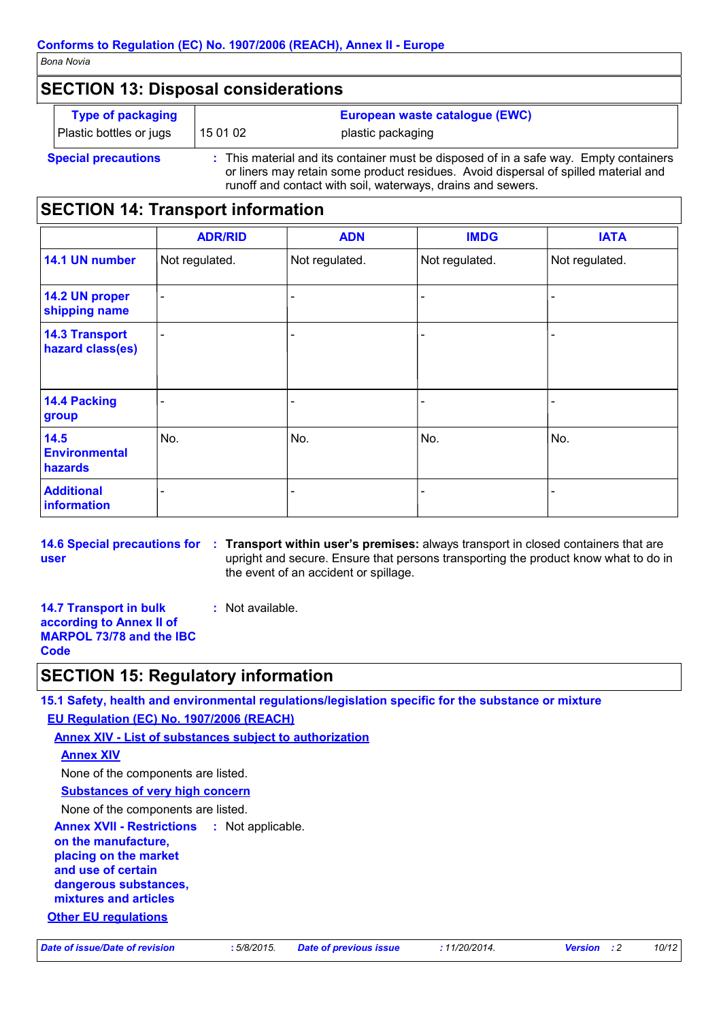### **SECTION 13: Disposal considerations**

|                            | <b>Type of packaging</b> | European waste catalogue (EWC) |                                                                                     |
|----------------------------|--------------------------|--------------------------------|-------------------------------------------------------------------------------------|
|                            | Plastic bottles or jugs  | 15 01 02                       | plastic packaging                                                                   |
| <b>Special precautions</b> |                          |                                | This material and its container must be disposed of in a safe way. Empty containers |

or liners may retain some product residues. Avoid dispersal of spilled material and runoff and contact with soil, waterways, drains and sewers.

### **SECTION 14: Transport information**

|                                           | <b>ADR/RID</b>  | <b>ADN</b>     | <b>IMDG</b>    | <b>IATA</b>    |
|-------------------------------------------|-----------------|----------------|----------------|----------------|
| 14.1 UN number                            | Not regulated.  | Not regulated. | Not regulated. | Not regulated. |
| 14.2 UN proper<br>shipping name           |                 |                |                |                |
| <b>14.3 Transport</b><br>hazard class(es) | $\qquad \qquad$ |                |                |                |
| 14.4 Packing<br>group                     |                 |                |                |                |
| 14.5<br><b>Environmental</b><br>hazards   | No.             | No.            | No.            | No.            |
| <b>Additional</b><br>information          |                 |                |                |                |

**14.6 Special precautions for user**

**Transport within user's premises:** always transport in closed containers that are **:** upright and secure. Ensure that persons transporting the product know what to do in the event of an accident or spillage.

**14.7 Transport in bulk according to Annex II of MARPOL 73/78 and the IBC Code :** Not available.

### **SECTION 15: Regulatory information**

**15.1 Safety, health and environmental regulations/legislation specific for the substance or mixture EU Regulation (EC) No. 1907/2006 (REACH)**

**Annex XIV - List of substances subject to authorization**

```
Annex XIV
```
None of the components are listed.

**Substances of very high concern**

None of the components are listed.

**Annex XVII - Restrictions on the manufacture, placing on the market and use of certain dangerous substances, mixtures and articles** : Not applicable.

### **Other EU regulations**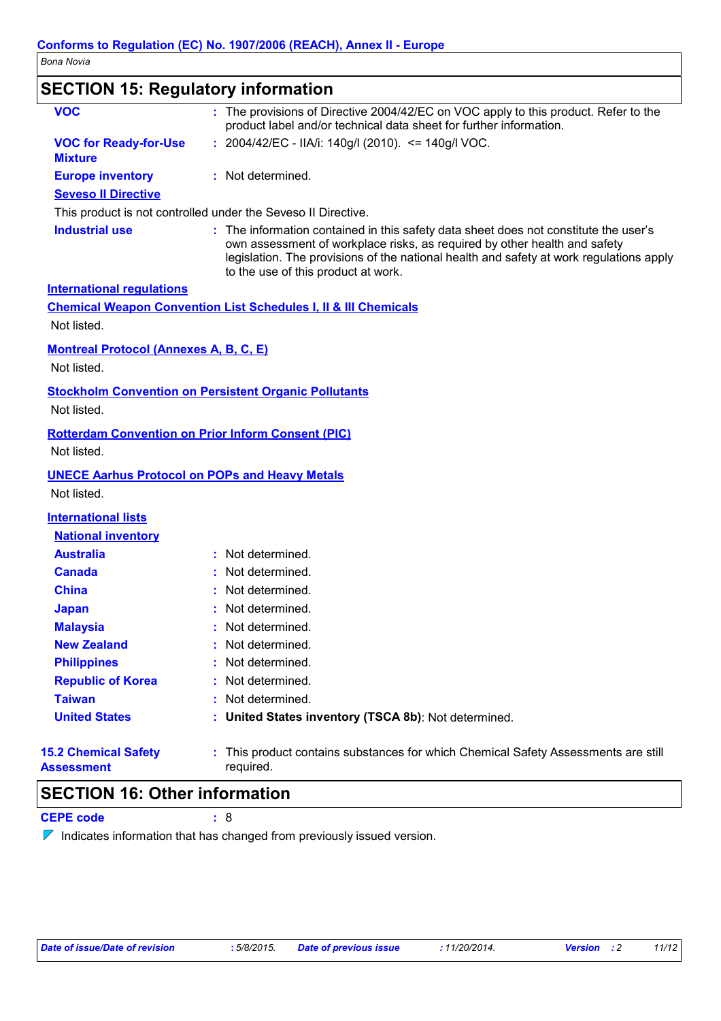## **SECTION 15: Regulatory information**

| <b>VOC</b>                                                   | : The provisions of Directive 2004/42/EC on VOC apply to this product. Refer to the<br>product label and/or technical data sheet for further information.                                                                                                                                           |  |  |
|--------------------------------------------------------------|-----------------------------------------------------------------------------------------------------------------------------------------------------------------------------------------------------------------------------------------------------------------------------------------------------|--|--|
| <b>VOC for Ready-for-Use</b><br><b>Mixture</b>               | : 2004/42/EC - IIA/i: 140g/l (2010). <= 140g/l VOC.                                                                                                                                                                                                                                                 |  |  |
| <b>Europe inventory</b>                                      | : Not determined.                                                                                                                                                                                                                                                                                   |  |  |
| <b>Seveso II Directive</b>                                   |                                                                                                                                                                                                                                                                                                     |  |  |
|                                                              | This product is not controlled under the Seveso II Directive.                                                                                                                                                                                                                                       |  |  |
| <b>Industrial use</b>                                        | : The information contained in this safety data sheet does not constitute the user's<br>own assessment of workplace risks, as required by other health and safety<br>legislation. The provisions of the national health and safety at work regulations apply<br>to the use of this product at work. |  |  |
| <b>International regulations</b>                             |                                                                                                                                                                                                                                                                                                     |  |  |
|                                                              | <b>Chemical Weapon Convention List Schedules I, II &amp; III Chemicals</b>                                                                                                                                                                                                                          |  |  |
| Not listed.                                                  |                                                                                                                                                                                                                                                                                                     |  |  |
| <b>Montreal Protocol (Annexes A, B, C, E)</b><br>Not listed. |                                                                                                                                                                                                                                                                                                     |  |  |
|                                                              |                                                                                                                                                                                                                                                                                                     |  |  |
| Not listed.                                                  | <b>Stockholm Convention on Persistent Organic Pollutants</b>                                                                                                                                                                                                                                        |  |  |
| Not listed.                                                  | <b>Rotterdam Convention on Prior Inform Consent (PIC)</b>                                                                                                                                                                                                                                           |  |  |
| Not listed.                                                  | <b>UNECE Aarhus Protocol on POPs and Heavy Metals</b>                                                                                                                                                                                                                                               |  |  |
| <b>International lists</b><br><b>National inventory</b>      |                                                                                                                                                                                                                                                                                                     |  |  |
| <b>Australia</b>                                             | : Not determined.                                                                                                                                                                                                                                                                                   |  |  |
| <b>Canada</b>                                                | Not determined.                                                                                                                                                                                                                                                                                     |  |  |
| <b>China</b>                                                 | Not determined.                                                                                                                                                                                                                                                                                     |  |  |
| <b>Japan</b>                                                 | Not determined.                                                                                                                                                                                                                                                                                     |  |  |
| <b>Malaysia</b>                                              | : Not determined.                                                                                                                                                                                                                                                                                   |  |  |
| <b>New Zealand</b>                                           | : Not determined.                                                                                                                                                                                                                                                                                   |  |  |
| <b>Philippines</b>                                           | Not determined.                                                                                                                                                                                                                                                                                     |  |  |
| <b>Republic of Korea</b>                                     | Not determined.                                                                                                                                                                                                                                                                                     |  |  |
| <b>Taiwan</b>                                                | Not determined.                                                                                                                                                                                                                                                                                     |  |  |
| <b>United States</b>                                         | United States inventory (TSCA 8b): Not determined.                                                                                                                                                                                                                                                  |  |  |
| <b>15.2 Chemical Safety</b><br>Assessment                    | This product contains substances for which Chemical Safety Assessments are still<br>required.                                                                                                                                                                                                       |  |  |

### **SECTION 16: Other information**

**CEPE code :** 8

 $\nabla$  Indicates information that has changed from previously issued version.